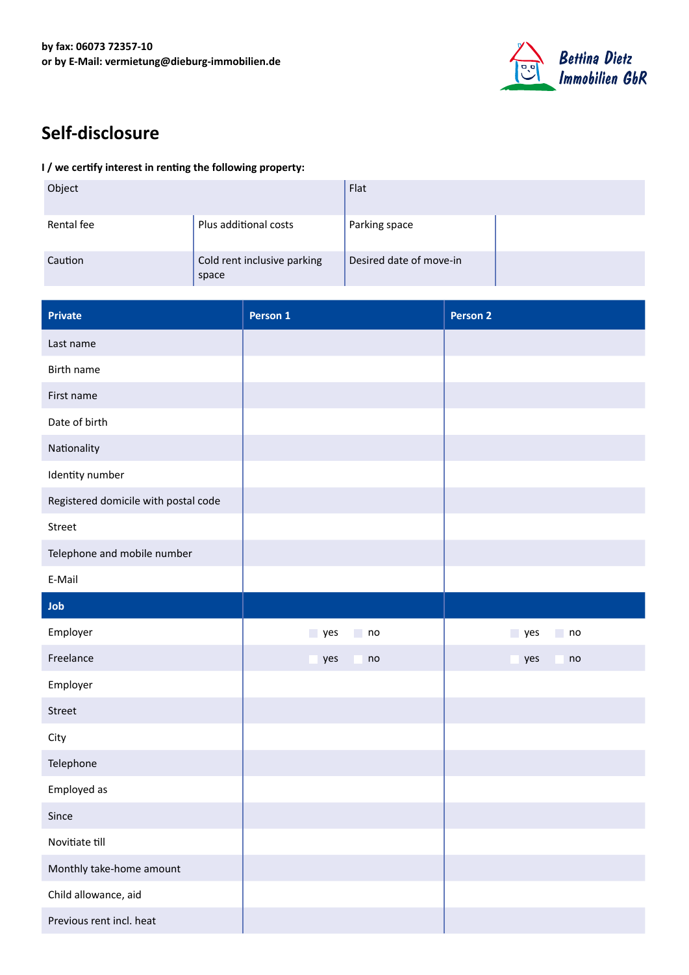

## **Self-disclosure**

## **I / we certify interest in renting the following property:**

| Object     |                                      | Flat                    |  |
|------------|--------------------------------------|-------------------------|--|
| Rental fee | Plus additional costs                | Parking space           |  |
| Caution    | Cold rent inclusive parking<br>space | Desired date of move-in |  |

| <b>Private</b>                       | Person 1         | <b>Person 2</b> |
|--------------------------------------|------------------|-----------------|
| Last name                            |                  |                 |
| Birth name                           |                  |                 |
| First name                           |                  |                 |
| Date of birth                        |                  |                 |
| Nationality                          |                  |                 |
| Identity number                      |                  |                 |
| Registered domicile with postal code |                  |                 |
| Street                               |                  |                 |
| Telephone and mobile number          |                  |                 |
| E-Mail                               |                  |                 |
| Job                                  |                  |                 |
| Employer                             | $\Box$ no<br>yes | yes<br>no       |
| Freelance                            | yes<br>no<br>×.  | yes<br>no<br>×. |
| Employer                             |                  |                 |
| Street                               |                  |                 |
| City                                 |                  |                 |
| Telephone                            |                  |                 |
| Employed as                          |                  |                 |
| Since                                |                  |                 |
| Novitiate till                       |                  |                 |
| Monthly take-home amount             |                  |                 |
| Child allowance, aid                 |                  |                 |
| Previous rent incl. heat             |                  |                 |